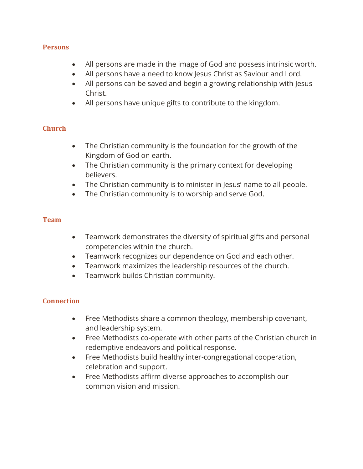#### **Persons**

- All persons are made in the image of God and possess intrinsic worth.
- All persons have a need to know Jesus Christ as Saviour and Lord.
- All persons can be saved and begin a growing relationship with Jesus Christ.
- All persons have unique gifts to contribute to the kingdom.

# **Church**

- The Christian community is the foundation for the growth of the Kingdom of God on earth.
- The Christian community is the primary context for developing believers.
- The Christian community is to minister in Jesus' name to all people.
- The Christian community is to worship and serve God.

# **Team**

- Teamwork demonstrates the diversity of spiritual gifts and personal competencies within the church.
- Teamwork recognizes our dependence on God and each other.
- Teamwork maximizes the leadership resources of the church.
- Teamwork builds Christian community.

# **Connection**

- Free Methodists share a common theology, membership covenant, and leadership system.
- Free Methodists co-operate with other parts of the Christian church in redemptive endeavors and political response.
- Free Methodists build healthy inter-congregational cooperation, celebration and support.
- Free Methodists affirm diverse approaches to accomplish our common vision and mission.